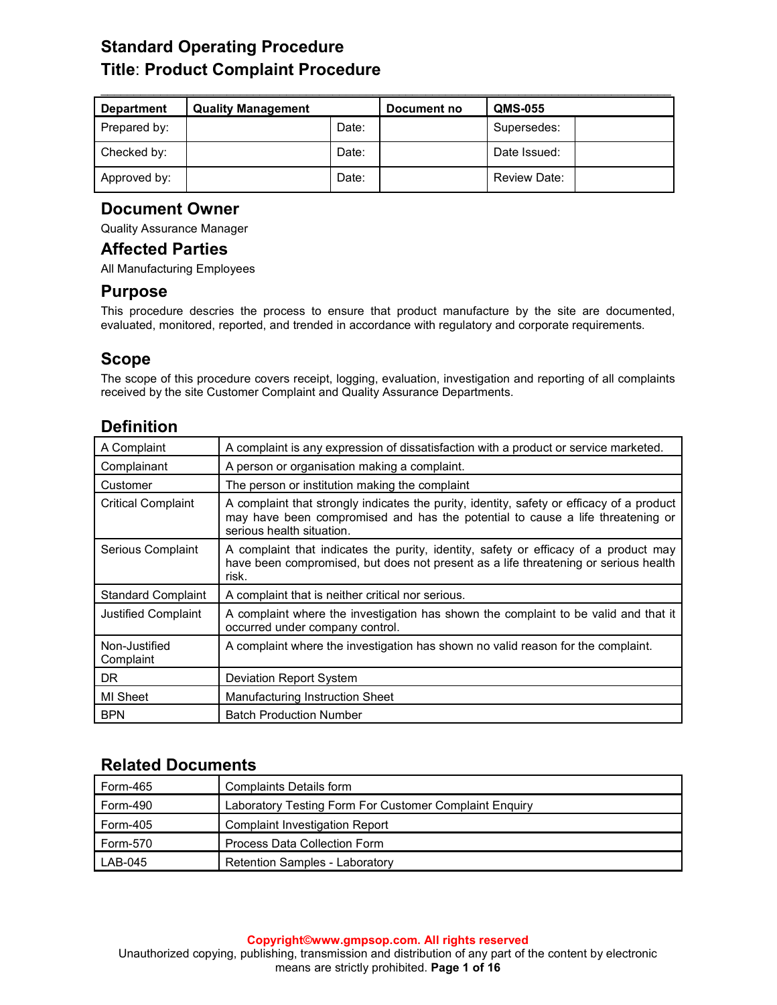# **Standard Operating Procedure Title**: **Product Complaint Procedure**

| <b>Department</b> | <b>Quality Management</b> |       | Document no | <b>QMS-055</b> |  |
|-------------------|---------------------------|-------|-------------|----------------|--|
| Prepared by:      |                           | Date: |             | Supersedes:    |  |
| Checked by:       |                           | Date: |             | Date Issued:   |  |
| Approved by:      |                           | Date: |             | Review Date:   |  |

## **Document Owner**

Quality Assurance Manager

## **Affected Parties**

All Manufacturing Employees

## **Purpose**

This procedure descries the process to ensure that product manufacture by the site are documented, evaluated, monitored, reported, and trended in accordance with regulatory and corporate requirements.

# **Scope**

The scope of this procedure covers receipt, logging, evaluation, investigation and reporting of all complaints received by the site Customer Complaint and Quality Assurance Departments.

# **Definition**

| A Complaint                | A complaint is any expression of dissatisfaction with a product or service marketed.                                                                                                                     |
|----------------------------|----------------------------------------------------------------------------------------------------------------------------------------------------------------------------------------------------------|
| Complainant                | A person or organisation making a complaint.                                                                                                                                                             |
| Customer                   | The person or institution making the complaint                                                                                                                                                           |
| <b>Critical Complaint</b>  | A complaint that strongly indicates the purity, identity, safety or efficacy of a product<br>may have been compromised and has the potential to cause a life threatening or<br>serious health situation. |
| Serious Complaint          | A complaint that indicates the purity, identity, safety or efficacy of a product may<br>have been compromised, but does not present as a life threatening or serious health<br>risk.                     |
| <b>Standard Complaint</b>  | A complaint that is neither critical nor serious.                                                                                                                                                        |
| <b>Justified Complaint</b> | A complaint where the investigation has shown the complaint to be valid and that it<br>occurred under company control.                                                                                   |
| Non-Justified<br>Complaint | A complaint where the investigation has shown no valid reason for the complaint.                                                                                                                         |
| DR.                        | Deviation Report System                                                                                                                                                                                  |
| MI Sheet                   | Manufacturing Instruction Sheet                                                                                                                                                                          |
| <b>BPN</b>                 | <b>Batch Production Number</b>                                                                                                                                                                           |

# **Related Documents**

| Form-465 | Complaints Details form                                |
|----------|--------------------------------------------------------|
| Form-490 | Laboratory Testing Form For Customer Complaint Enquiry |
| Form-405 | Complaint Investigation Report                         |
| Form-570 | Process Data Collection Form                           |
| LAB-045  | Retention Samples - Laboratory                         |

#### **Copyright©www.gmpsop.com. All rights reserved**

Unauthorized copying, publishing, transmission and distribution of any part of the content by electronic means are strictly prohibited. **Page 1 of 16**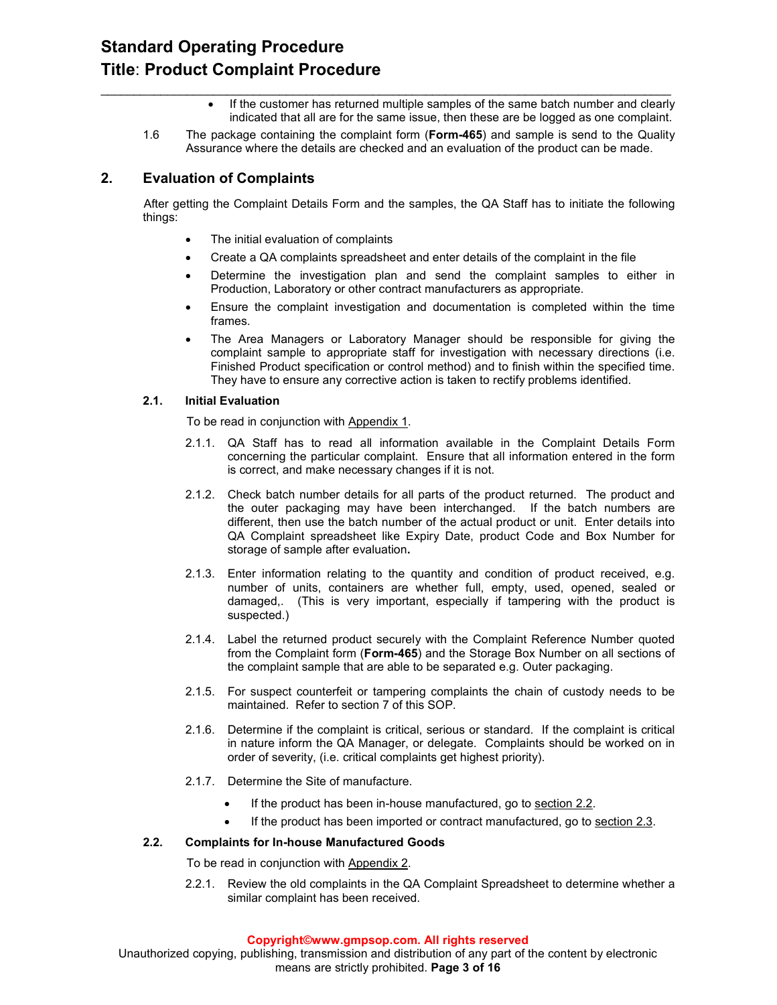- If the customer has returned multiple samples of the same batch number and clearly indicated that all are for the same issue, then these are be logged as one complaint.
- 1.6 The package containing the complaint form (**Form-465**) and sample is send to the Quality Assurance where the details are checked and an evaluation of the product can be made.

 $\_$  , and the set of the set of the set of the set of the set of the set of the set of the set of the set of the set of the set of the set of the set of the set of the set of the set of the set of the set of the set of th

## **2. Evaluation of Complaints**

After getting the Complaint Details Form and the samples, the QA Staff has to initiate the following things:

- The initial evaluation of complaints
- Create a QA complaints spreadsheet and enter details of the complaint in the file
- Determine the investigation plan and send the complaint samples to either in Production, Laboratory or other contract manufacturers as appropriate.
- Ensure the complaint investigation and documentation is completed within the time frames.
- The Area Managers or Laboratory Manager should be responsible for giving the complaint sample to appropriate staff for investigation with necessary directions (i.e. Finished Product specification or control method) and to finish within the specified time. They have to ensure any corrective action is taken to rectify problems identified.

#### **2.1. Initial Evaluation**

To be read in conjunction with Appendix 1.

- 2.1.1. QA Staff has to read all information available in the Complaint Details Form concerning the particular complaint. Ensure that all information entered in the form is correct, and make necessary changes if it is not.
- 2.1.2. Check batch number details for all parts of the product returned. The product and the outer packaging may have been interchanged. If the batch numbers are different, then use the batch number of the actual product or unit. Enter details into QA Complaint spreadsheet like Expiry Date, product Code and Box Number for storage of sample after evaluation**.**
- 2.1.3. Enter information relating to the quantity and condition of product received, e.g. number of units, containers are whether full, empty, used, opened, sealed or damaged,. (This is very important, especially if tampering with the product is suspected.)
- 2.1.4. Label the returned product securely with the Complaint Reference Number quoted from the Complaint form (**Form-465**) and the Storage Box Number on all sections of the complaint sample that are able to be separated e.g. Outer packaging.
- 2.1.5. For suspect counterfeit or tampering complaints the chain of custody needs to be maintained. Refer to section 7 of this SOP.
- 2.1.6. Determine if the complaint is critical, serious or standard. If the complaint is critical in nature inform the QA Manager, or delegate. Complaints should be worked on in order of severity, (i.e. critical complaints get highest priority).
- 2.1.7. Determine the Site of manufacture.
	- If the product has been in-house manufactured, go to section 2.2.
	- If the product has been imported or contract manufactured, go to section 2.3.

#### **2.2. Complaints for In-house Manufactured Goods**

To be read in conjunction with Appendix 2.

2.2.1. Review the old complaints in the QA Complaint Spreadsheet to determine whether a similar complaint has been received.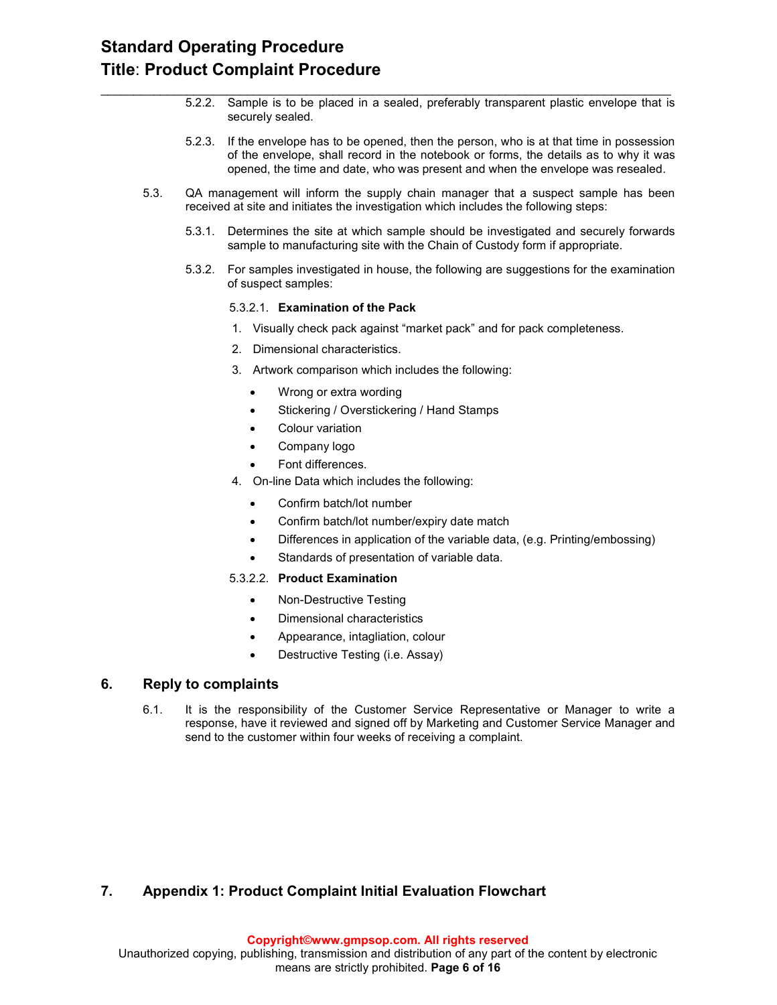# **Standard Operating Procedure Title**: **Product Complaint Procedure**

- 5.2.2. Sample is to be placed in a sealed, preferably transparent plastic envelope that is securely sealed.
- 5.2.3. If the envelope has to be opened, then the person, who is at that time in possession of the envelope, shall record in the notebook or forms, the details as to why it was opened, the time and date, who was present and when the envelope was resealed.
- 5.3. QA management will inform the supply chain manager that a suspect sample has been received at site and initiates the investigation which includes the following steps:

 $\_$  , and the set of the set of the set of the set of the set of the set of the set of the set of the set of the set of the set of the set of the set of the set of the set of the set of the set of the set of the set of th

- 5.3.1. Determines the site at which sample should be investigated and securely forwards sample to manufacturing site with the Chain of Custody form if appropriate.
- 5.3.2. For samples investigated in house, the following are suggestions for the examination of suspect samples:

#### 5.3.2.1. **Examination of the Pack**

- 1. Visually check pack against "market pack" and for pack completeness.
- 2. Dimensional characteristics.
- 3. Artwork comparison which includes the following:
	- Wrong or extra wording
	- Stickering / Overstickering / Hand Stamps
	- Colour variation
	- Company logo
	- Font differences.
- 4. On-line Data which includes the following:
	- Confirm batch/lot number
	- Confirm batch/lot number/expiry date match
	- Differences in application of the variable data, (e.g. Printing/embossing)
	- Standards of presentation of variable data.
- 5.3.2.2. **Product Examination**
	- Non-Destructive Testing
	- Dimensional characteristics
	- Appearance, intagliation, colour
	- Destructive Testing (i.e. Assay)

### **6. Reply to complaints**

6.1. It is the responsibility of the Customer Service Representative or Manager to write a response, have it reviewed and signed off by Marketing and Customer Service Manager and send to the customer within four weeks of receiving a complaint.

## **7. Appendix 1: Product Complaint Initial Evaluation Flowchart**

**Copyright©www.gmpsop.com. All rights reserved**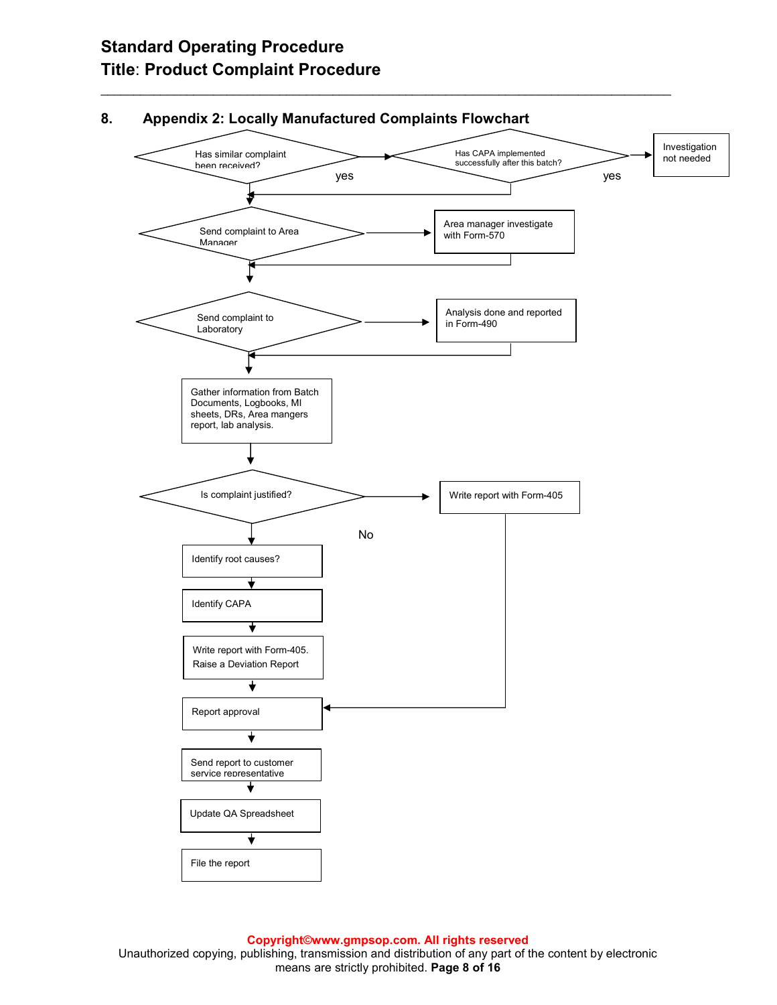# **Standard Operating Procedure Title**: **Product Complaint Procedure**



## **8. Appendix 2: Locally Manufactured Complaints Flowchart**

 $\_$  , and the set of the set of the set of the set of the set of the set of the set of the set of the set of the set of the set of the set of the set of the set of the set of the set of the set of the set of the set of th

**Copyright©www.gmpsop.com. All rights reserved** 

Unauthorized copying, publishing, transmission and distribution of any part of the content by electronic means are strictly prohibited. **Page 8 of 16**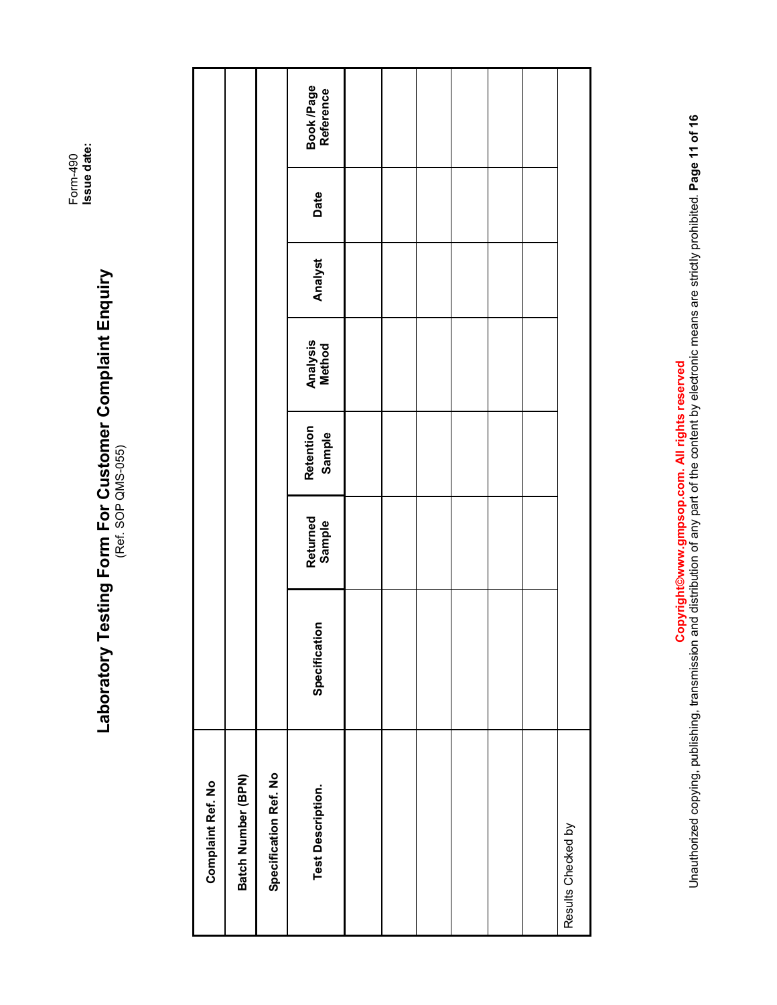Form-490<br>Issue date:

# **Issue date:**  Laboratory Testing Form For Customer Complaint Enquiry **Laboratory Testing Form For Customer Complaint Enquiry**  (Ref. SOP QMS-055)

Copyright differencem. All rights and distribution of any part of the content by electronic means are strictly prohibited. Page 11 of 16<br>Unauthorized copying, publishing, transmission and distribution of any part of the co Unauthorized copying, transmission and distribution of any part of the content by electronic means are strictly prohibited. **Page 11 of 16 Copyright©www.gmpsop.com. All rights reserved**